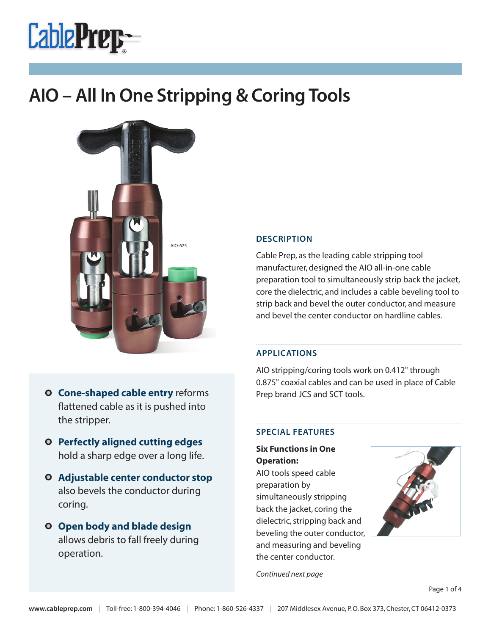



### **DESCRIPTION**

Cable Prep, as the leading cable stripping tool manufacturer, designed the AIO all-in-one cable preparation tool to simultaneously strip back the jacket, core the dielectric, and includes a cable beveling tool to strip back and bevel the outer conductor, and measure and bevel the center conductor on hardline cables.

### **APPLICATIONS**

AIO stripping/coring tools work on 0.412" through 0.875" coaxial cables and can be used in place of Cable Prep brand JCS and SCT tools.

#### **SPECIAL FEATURES**

**Six Functions in One Operation:**

AIO tools speed cable preparation by simultaneously stripping back the jacket, coring the dielectric, stripping back and beveling the outer conductor, and measuring and beveling the center conductor.



*Continued next page*



- **Perfectly aligned cutting edges** hold a sharp edge over a long life.
- **Adjustable center conductor stop** also bevels the conductor during coring.
- **Open body and blade design** allows debris to fall freely during operation.

Page 1 of 4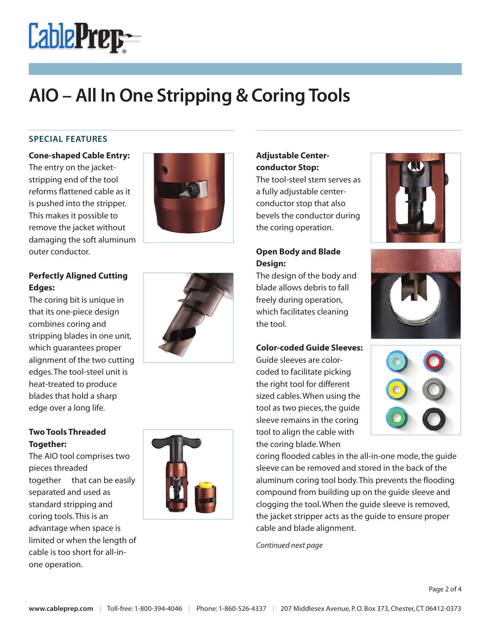

### **SPECIAL FEATURES**

**Cone-shaped Cable Entry:** The entry on the jacketstripping end of the tool reforms flattened cable as it is pushed into the stripper. This makes it possible to remove the jacket without damaging the soft aluminum outer conductor.



The coring bit is unique in that its one-piece design combines coring and stripping blades in one unit, which guarantees proper alignment of the two cutting edges.The tool-steel unit is heat-treated to produce blades that hold a sharp edge over a long life.

## **Two Tools Threaded Together:**

The AIO tool comprises two pieces threaded together that can be easily separated and used as standard stripping and coring tools.This is an advantage when space is limited or when the length of cable is too short for all-inone operation.







## **Adjustable Centerconductor Stop:**

The tool-steel stem serves as a fully adjustable centerconductor stop that also bevels the conductor during the coring operation.

## **Open Body and Blade Design:**

The design of the body and blade allows debris to fall freely during operation, which facilitates cleaning the tool.

### **Color-coded Guide Sleeves:**

Guide sleeves are colorcoded to facilitate picking the right tool for different sized cables.When using the tool as two pieces, the quide sleeve remains in the coring tool to align the cable with the coring blade.When







coring flooded cables in the all-in-one mode,the guide sleeve can be removed and stored in the back of the aluminum coring tool body.This prevents the flooding compound from building up on the guide sleeve and clogging the tool.When the guide sleeve is removed, the jacket stripper acts as the guide to ensure proper cable and blade alignment.

*Continued next page*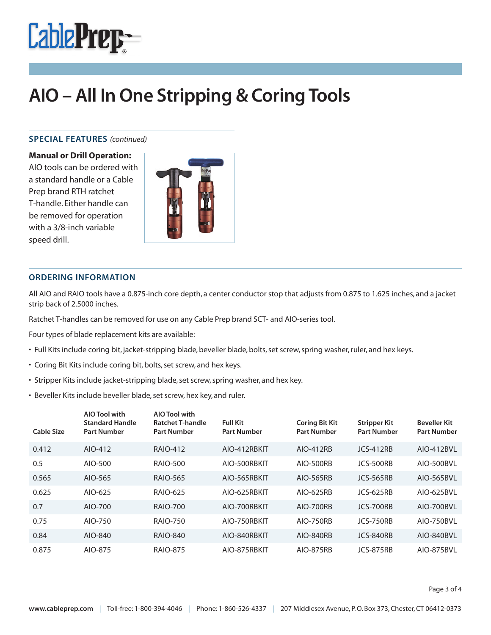

#### **SPECIAL FEATURES** *(continued)*

**Manual or Drill Operation:**

AIO tools can be ordered with a standard handle or a Cable Prep brand RTH ratchet T-handle. Either handle can be removed for operation with a 3/8-inch variable speed drill.



#### **ORDERING INFORMATION**

All AIO and RAIO tools have a 0.875-inch core depth, a center conductor stop that adjusts from 0.875 to 1.625 inches, and a jacket strip back of 2.5000 inches.

Ratchet T-handles can be removed for use on any Cable Prep brand SCT- and AIO-series tool.

Four types of blade replacement kits are available:

- Full Kits include coring bit, jacket-stripping blade, beveller blade, bolts,set screw,spring washer,ruler, and hex keys.
- Coring Bit Kits include coring bit, bolts, set screw, and hex keys.
- Stripper Kits include jacket-stripping blade, set screw, spring washer, and hex key.
- Beveller Kits include beveller blade,set screw, hex key, and ruler.

| <b>Cable Size</b> | <b>AIO Tool with</b><br><b>Standard Handle</b><br><b>Part Number</b> | <b>AIO Tool with</b><br><b>Ratchet T-handle</b><br><b>Part Number</b> | <b>Full Kit</b><br><b>Part Number</b> | <b>Coring Bit Kit</b><br><b>Part Number</b> | <b>Stripper Kit</b><br><b>Part Number</b> | <b>Beveller Kit</b><br><b>Part Number</b> |
|-------------------|----------------------------------------------------------------------|-----------------------------------------------------------------------|---------------------------------------|---------------------------------------------|-------------------------------------------|-------------------------------------------|
| 0.412             | AIO-412                                                              | <b>RAIO-412</b>                                                       | AIO-412RBKIT                          | AIO-412RB                                   | <b>JCS-412RB</b>                          | AIO-412BVL                                |
| 0.5               | AIO-500                                                              | <b>RAIO-500</b>                                                       | AIO-500RBKIT                          | <b>AIO-500RB</b>                            | JCS-500RB                                 | AIO-500BVL                                |
| 0.565             | AIO-565                                                              | <b>RAIO-565</b>                                                       | AIO-565RBKIT                          | <b>AIO-565RB</b>                            | <b>JCS-565RB</b>                          | <b>AIO-565BVL</b>                         |
| 0.625             | AIO-625                                                              | RAIO-625                                                              | AIO-625RBKIT                          | AIO-625RB                                   | JCS-625RB                                 | AIO-625BVL                                |
| 0.7               | AIO-700                                                              | <b>RAIO-700</b>                                                       | AIO-700RBKIT                          | <b>AIO-700RB</b>                            | JCS-700RB                                 | AIO-700BVL                                |
| 0.75              | AIO-750                                                              | <b>RAIO-750</b>                                                       | AIO-750RBKIT                          | <b>AIO-750RB</b>                            | <b>JCS-750RB</b>                          | AIO-750BVL                                |
| 0.84              | AIO-840                                                              | <b>RAIO-840</b>                                                       | AIO-840RBKIT                          | <b>AIO-840RB</b>                            | JCS-840RB                                 | AIO-840BVL                                |
| 0.875             | AIO-875                                                              | <b>RAIO-875</b>                                                       | AIO-875RBKIT                          | <b>AIO-875RB</b>                            | JCS-875RB                                 | AIO-875BVL                                |

Page 3 of 4